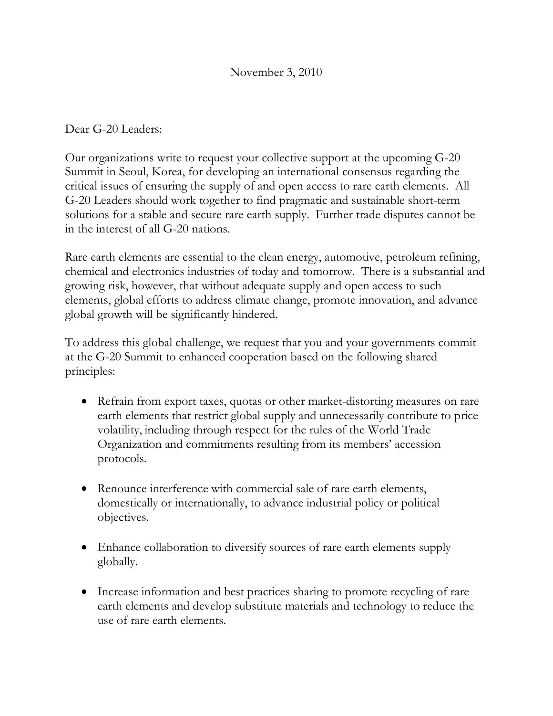Dear G-20 Leaders:

Our organizations write to request your collective support at the upcoming G-20 Summit in Seoul, Korea, for developing an international consensus regarding the critical issues of ensuring the supply of and open access to rare earth elements. All G-20 Leaders should work together to find pragmatic and sustainable short-term solutions for a stable and secure rare earth supply. Further trade disputes cannot be in the interest of all G-20 nations.

Rare earth elements are essential to the clean energy, automotive, petroleum refining, chemical and electronics industries of today and tomorrow. There is a substantial and growing risk, however, that without adequate supply and open access to such elements, global efforts to address climate change, promote innovation, and advance global growth will be significantly hindered.

To address this global challenge, we request that you and your governments commit at the G-20 Summit to enhanced cooperation based on the following shared principles:

- Refrain from export taxes, quotas or other market-distorting measures on rare earth elements that restrict global supply and unnecessarily contribute to price volatility, including through respect for the rules of the World Trade Organization and commitments resulting from its members' accession protocols.
- Renounce interference with commercial sale of rare earth elements, domestically or internationally, to advance industrial policy or political objectives.
- Enhance collaboration to diversify sources of rare earth elements supply globally.
- Increase information and best practices sharing to promote recycling of rare earth elements and develop substitute materials and technology to reduce the use of rare earth elements.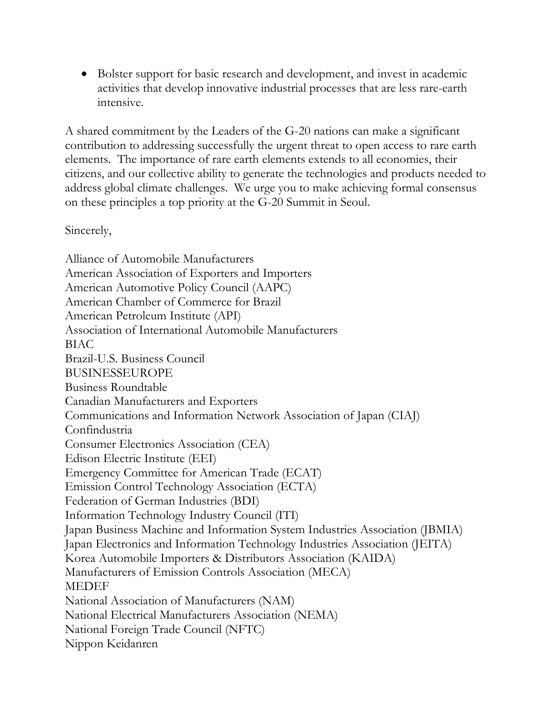• Bolster support for basic research and development, and invest in academic activities that develop innovative industrial processes that are less rare-earth intensive.

A shared commitment by the Leaders of the G-20 nations can make a significant contribution to addressing successfully the urgent threat to open access to rare earth elements. The importance of rare earth elements extends to all economies, their citizens, and our collective ability to generate the technologies and products needed to address global climate challenges. We urge you to make achieving formal consensus on these principles a top priority at the G-20 Summit in Seoul.

Sincerely,

Alliance of Automobile Manufacturers American Association of Exporters and Importers American Automotive Policy Council (AAPC) American Chamber of Commerce for Brazil American Petroleum Institute (API) Association of International Automobile Manufacturers BIAC Brazil-U.S. Business Council BUSINESSEUROPE Business Roundtable Canadian Manufacturers and Exporters Communications and Information Network Association of Japan (CIAJ) Confindustria Consumer Electronics Association (CEA) Edison Electric Institute (EEI) Emergency Committee for American Trade (ECAT) Emission Control Technology Association (ECTA) Federation of German Industries (BDI) Information Technology Industry Council (ITI) Japan Business Machine and Information System Industries Association (JBMIA) Japan Electronics and Information Technology Industries Association (JEITA) Korea Automobile Importers & Distributors Association (KAIDA) Manufacturers of Emission Controls Association (MECA) MEDEF National Association of Manufacturers (NAM) National Electrical Manufacturers Association (NEMA) National Foreign Trade Council (NFTC) Nippon Keidanren